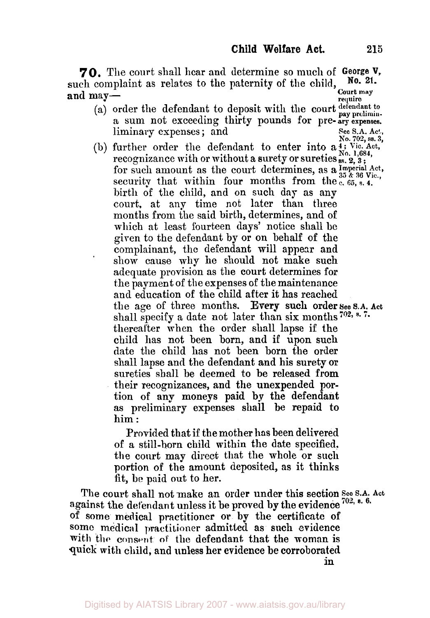*70.* The court shall hear and determine so much of **George V,**  such complaint as relates to the paternity of the child, **No. 21. Court may** 

- and may—<br>
(a) order the defendant to deposit with the court defendant to a sum not exceeding thirty pounds for pre-ary expenses. See **S.A.** Act, liminary expenses ; and
	- (b) further order the defendant to enter into  $a_{1}^{3}$ ,  $a_{2}^{1}$ ,  $b_{1}^{1}$ ,  $c_{2}^{1}$ ,  $d_{3}^{1}$ ,  $e_{3}^{1}$ ,  $e_{4}^{1}$ ,  $e_{5}^{1}$  $\operatorname{recognizance}$  with or without a surety or sureties, for such amount as the court determines, as a  $\frac{Imperial Act}{35*36 Vic}$ security that within four months from the  $\frac{50}{65}$ ,  $\frac{65}{65}$ ,  $\frac{1}{34}$ . birth of the child, and on such day as any court, at any time not later than thee months from the said birth, determines, and of which at least fourteen days' notice shall be given to the defendant by or on behalf of the complainant, the defendant mill appear and show cause why he should not make such adequate provision as the court determines for the payment of the expenses of the maintenance and education of the child after it has reached the age of three months. Every such order see S.A. *Act*  shall specify a date not later than six months **702, s.** ' thereafter when the order shall lapse if the child has not been born, and **if** upon such date the child has not been born the order shall lapse and the defendant and his surety **or**  sureties shall be deemed to be released from their recognizances, and the unexpended portion of **any** moneys paid by the defendant as preliminary expenses shall be repaid to him : . .,<sub>007,</sub><br>2, 3 **;**

Provided that if the mother has been delivered of a still-born child within the date specified. the court may direct that the whole or such **portion** of the amount deposited, as it thinks fit, be paid out to her.

The court shall not make an order under this section Sec **S.A.** Act **702,** *s.* **6.** against the defendant unless it be proved by the evidence of **some** medical practitioner *or* by the certificate **of Some** medical practitioner admitted as **such** evidence with the consent **of** the defendant that the **woman** is quick with child, and unless her evidence be corroborated

in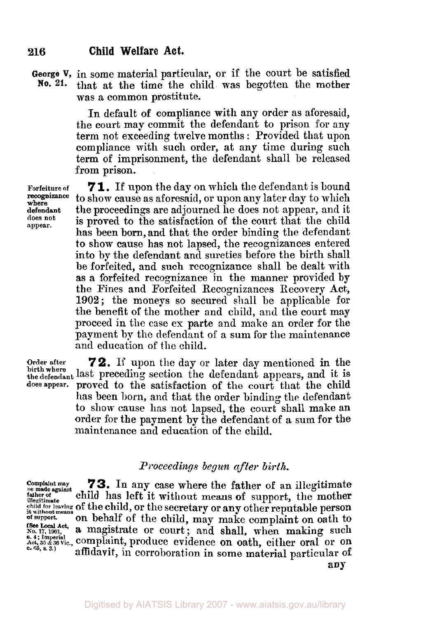## **216 Child Welfare Act.**

George **V**, in some material particular, or if the court be satisfied<br>**No. 21.** that at the time the child was begotten the mother **No. 21.** that at the time the child *was* begotten the mother was a common prostitute.

> In default **of** compliance with any order as aforesaid, the court may commit the defendant to prison for any term not exceeding twelve months : Provided that upon compliance with such order, at any time during such term of imprisonment, the defendant shall be released from prison.

**Forfeiture of defendant recognizance where does not appear.** 

*71.* **If** upon the day on which the defendant is bound to show cause as aforesaid, or upon any later day to which the proceedings are adjourned he does not appear, and it is proved to the satisfaction of the court that the child has been born, and that the order binding the defendant to show cause has not lapsed, the recognizances entered into by the defendant and sureties before the birth shall be forfeited, and **such** recognizance shall be dealt with as a forfeited recognizance in the manner provided **by**  the Fines and Forfeited Recognizances Recovery **Act, 1902;** the moneys so secured shall be applicable for the benefit of the mother and child, and the court may proceed in the case ex parte and make an order for the payment by the defendant of a sum for the maintenance and education of the child.

**Order after** *72.* **If** upon the day or later day mentioned in the birth where last preceding section the defendant appears, and it is **does appear.** proved to the satisfaction **of** the court that the child has been born, and that the order binding the defendant to show cause has not lapsed, the court shall make an order for the payment by the defendant of a sum **for** the maintenance and education of the child.

## *Proceedings begun after birth.*

**(See Local Act, c.** *65,* **s. 3.)** 

**Complaint may 73.** In any case where the father of an illegitimate regional against child has left it without means of support the mother child has left it without means of support, the mother Express the child, or the secretary or **any** other reputable person **of support.** on behalf of the child, **may** make complaint on oath to **No. 17, 1901, a** magistrate or court; and shall, when making such *s.* **4**; **Imperial** act, 35  $\&$  36 Vic., **Complaint**, produce evidence **on oath**, either **oral** or **on** affidavit, in corroboration in some material particular **of** 

any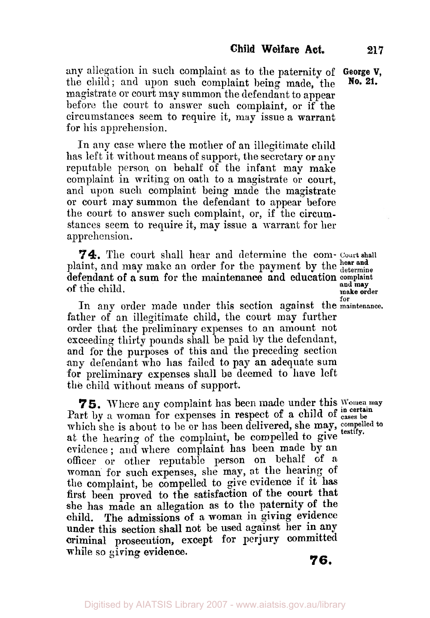**No. 21.** 

any allegation in such complaint as to the paternity of **George V,**  the child; and upon such complaint being made, the magistrate or court may summon the defendant to appear before the court to answer such complaint, or if the circumstances seem to require it, may issue a warrant for his apprehension.

In any case where the mother of an illegitimate child has left it without means of support, the secretary or any reputable person on behalf of the infant may make complaint in writing on oath to a magistrate or court, and upon such complaint being made the magistrate or court may summon the defendant to appear before the court to answer such complaint, or, if the circumstances seem to require it, may issue a warrant for her apprehension.

**74.** The court shall hear and determine the com- **court shall**  plaint, and may make an order for the payment by the **determine** of the child. **make order make order make order make order** defendant of *a* sum for the maintenance and education **complaint** 

**and may**  for

In any order made under this section against the **maintenance.**  father of an illegitimate child, the court may further order that the preliminary expenses to an amount not exceeding thirty pounds shall be paid by the defendant, and for the purposes of this and the preceding section any defendant who has failed to pay an adequate sum for preliminary expenses shall be deemed to have left the child without means **of** support.

75. Where any complaint has been made under this Women may Part by a woman for expenses in respect of a child of **cases** be which she is about to he or has been delivered, she may, **compelled to**  at the hearing of the complaint, be compelled to give evidence ; and where complaint has been made by an Officer or other reputable person on behalf **of a**  woman for such expenses, she may, at the hearing of the complaint, be compelled to give evidence if it **has**  first been proved to the satisfaction of the court that she has made an allegation as to the paternity **of** the child. The admissions **of** a woman in giving evidence under this section shall not be used against her **in** any criminal prosecution, except for perjury committed **testify.**  while so giving evidence.

*76.*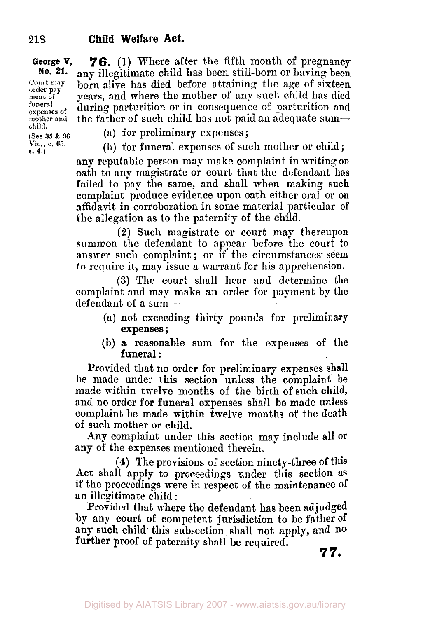**George V, 76.** (1) Where after the fifth month of pregnancy<br>No. 21. any illegitimate child has been still-horn or having been **No. 21. any illegitimate child has been still-born or having been** Court may been plive has died before attaining the age of sixteen born alive has died before attaining the age of sixteen we have a vears, and where the mother of any such child has died<br>function and during portunition or in consequence of parturition and **expenses funeral of** during parturition or in consequence of parturition and mother and the father of such child has not paid an adequate sum**order pay** 

**child.**  *(See* **35** & **36**  *Vic.,* **c.** *65, s.* **4.)** 

(a) for preliminary expenses ;

(b) for funeral expenses **of** such mother or child;

any reputable person may make complaint in writing on oath to any magistrate or court that the defendant has failed to pay the same, and shall when making such complaint produce evidence upon oath either oral or on affidavit in corroboration in some material particular of the allegation as to the paternity of the child.

**(2)** Such magistrate or court may thereupon summon the defendant to appear before the court to answer such complaint; or if the circumstances seem to require it, may issue a warrant for his apprehension.

**(3)** The court shall hear and determine the complaint and may make an order for payment by the defendant of a sum-

- (a) not exceeding thirty pounds for preliminary expenses ;
- (b) a reasonable sum for the expenses of the funeral :

Provided that no order for preliminary expenses shall be made under this section unless the complaint be made within twelve months of the birth of such child, and no order for funeral expenses shall be made unless complaint be made within twelve months **of** the death of such mother or child.

Any complaint under this section may include all or any of the expenses mentioned therein.

**(4)** The provisions of section ninety-three of this Act shall apply to proceedings under this section **as**  if the proceedings were in respect of the maintenance of an illegitimate child :

Provided that where the defendant has been adjudged by any court of competent jurisdiction to be father of any such child this subsection shall not apply, and **no**  further proof **of** paternity shall be required.

*77.*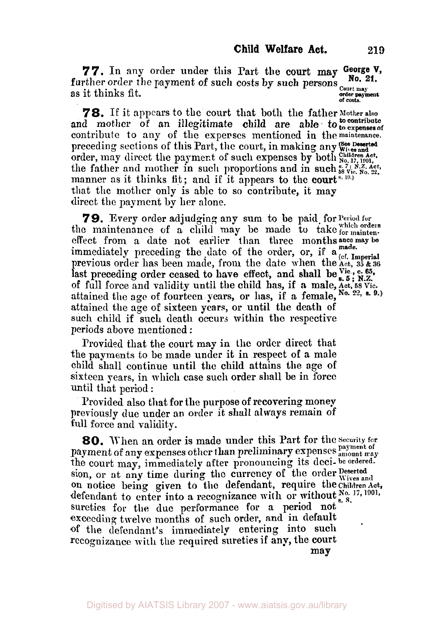**77.** In any order under this Part the court may George **V**, further order the payment of such costs by such persons  $_{\text{court may}}$ **as** it thinks fit. **order payment of costs.** 

**78.** If it appears to the court that both the father Mother also contribute to any of the expenses mentioned in the maintenance. preceding sections of this Part, the court, in making any manner as it thinks fit; and if it appears to the that the mother only is able to so contribute, it may direct the payment by **her** done. TO. It it appears to the court that both the rather result in preceding sections of this Part, the court, in making any  $\mathbb{S}^{\text{ce described}}_{\text{N0}}$  order, may direct the payment of such expenses by both  $\mathbb{S}^{\text{bilinear Act}}_{\text{N0.17,1901}}$ , the father and mother in such proportions and in suc

**79.** Every order adjudging any sum to **be** paid. for Period **for**  effect from a date not earlier than three months ance may **be**  immediately preceding the date of the order, or, if a  $_{ccf}^{mad}$ previous order has been made, from the date when the Act, **35 36**  of full force and validity until the child has, if a male, Act, **58** Vic. attained the age of fourteen years, or has, if a female, <sup>No. 22</sup>, attained the age of sixteen **years,** or until the death of such child if such death occurs within the respective periods above mentioned : **full the main in the specifical in the court of the court of the court of the payer of a contribute, it may direct the payer of a colubration of the and for Period for Period for Period for Period for Period can control made.**  the maintenance of a child may be made to take which orders previous order has been made, from the date when the act, 35 x 3<br>last preceding order ceased to have effect, and shall be  $V^{\text{ic}}$ , c. 65,<br>of fall factor and will intent if the ability has if a made is 5; N.Z.

Provided that the court may in the order direct that the payments to be made under it in respect of a male child shall continue until the child attains the **age** of sixteen years, in which case such order shall be in force until that period :

Provided also that for the purpose of recovering money previously due under an order it shall always remain of

full force and validity.<br>**80.** When an order is made under this Part for the security for payment of any expenses other than preliminary expenses amount *may* the court may, immediately after pronouncing its deci- be ordered. sion, or at any time during the currency of the order Deserted of a *all any time during the entreacy* of the order wives and on notice being given to the defendant, require the children Act, defendant to enter into a recognizance with or without No. 17, 1901, sureties **for** the due performance for a period not exceeding twelve months **of such** order, and in default **of** the defendant's immediately entering into such recognizance with the required sureties if any, **the** court **may**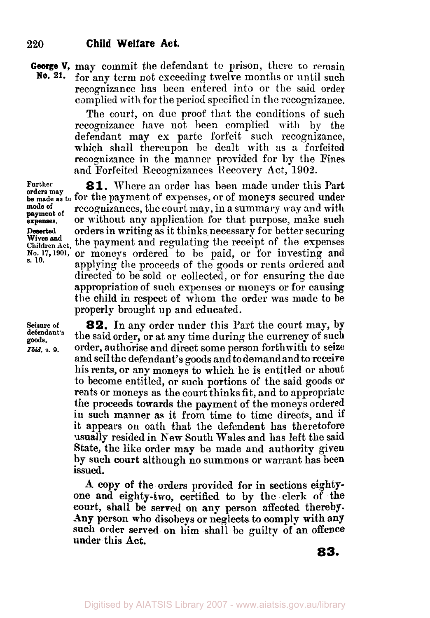**George V, may commit the defendant to prison, there to remain No. 21.** for any term not exceeding twelve months or until such for any term not exceeding twelve months or until such recognizance has been entered into or the said order complied with for the period specified in the recognizance.

> The court, on due proof that the conditions of such recognizance have not been complied with by the defendant may **ex** parte forfeit such recognizance, which shall thereupon be dealt with as a forfeited recognizance in the manner provided for by the Pines and Forfeited Recognizances Recovery Act, **1902.**

**orders may payment of Wives and s. 19.** 

**Seizure of defendant's goods.**  *Ibid.* **s.** *9.* 

**Further** *8* **1.** Where an order has been made under this Part **be made as to for the payment of expenses, or of moneys secured under<br>mode of <u>recognizances</u> the court may in a summary way and with** recognizances, the court may, in a summary way and with **expenses. or** without any application for that purpose, make such *Deserted* orders in writing as it thinks necessary for better securing **Children Act,** the payment and regulating the receipt of the expenses **No. 17, 1901,** or moneys ordered to be paid, or for investing and applying the proceeds of the goods or rents ordered and directed to be sold or collected, or for ensuring the due appropriation of such expenses or moneys or for causing the child in respect of whom the order was made to be properly brought up and educated.

> **82.** In any order under this Part the court may, by the said order, or at any time during the currency of such order, authorise and direct some person forthwith to seize and sell the defendant's goods andtodemandandto receive his rents, **or** any moneys to which he is entitled *or* about to become entitled, or such portions of the said goods or rents or moneys as the court thinks fit, and to appropriate the proceeds towards the payment of the moneys ordered in such manner as it from time to time directs, and if it appears on oath that the defendent has theretofore usually resided in New South Wales and has left the said State, the like order may be made and authority given by such court although no summons **or** warrant has been issued.

> **A copy of** the orders provided for in sections eightyone and eighty-two, certified **to by** the clerk of the court, **shall** be served on **any** person **affected** thereby. **Any** person **who** disobeys or neglects to comply with **any**  such order served **on** him **shall** be guilty of an offence under this **Act.**

**83.**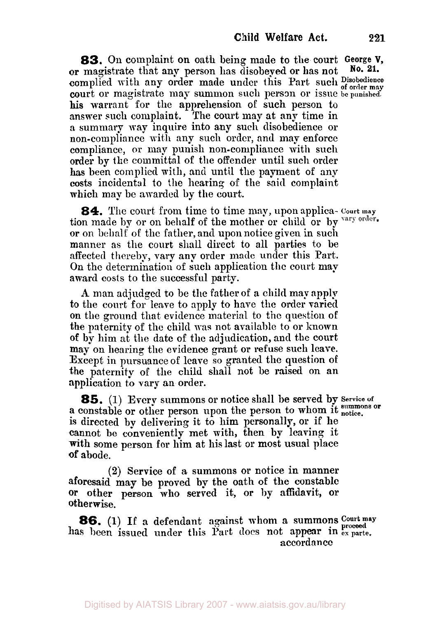**83.** On complaint on oath being made to the court **George V,**  or magistrate that any person has disobeyed or has not complied with any order made under this Part such Disobedience court or magistrate **may** summon **such** person or issue **be punished,**  his warrant for the apprehension **of such** person to answer such complaint. The court **may** at any time in a summary way inquire into any such disobedience or non-compliance with any such order, and may enforce compliance, or may punish non-compliance with such order by the committal of the offender until such order has been complied with, and until the payment **of** any costs incidental to the hearing of the said complaint which may be awarded by the court.

tion made by or on behalf of the mother or child or by vary order. or on behalf of the father, and upon notice given in such manner as the court shall direct to all parties to be affected thereby, vary any order **made** under this Part. On the determination of such application the court map award costs to the successful party. **84.** The court from time to time may, upon applica- **Court may** 

**A** man adjudged **to** be the father of a child map apply to the court for leave to apply to **have** the order varied on the ground that evidence material to **the** question of the paternity of **the** child **was** not available to or known **of** by him at the date of the adjudication, **and** the court may on hearing the evidence grant **or** refuse such leave. Except in pursuance of leave so granted the question **of**  the paternity of the child shall not be **raised** on an application to vary an order.

*85.* (1) **Every** summons or notice shall be served **by Service of a** constable or other person upon the person to whom it **summons or notice**  is directed by delivering it to him personally, or if he cannot be conveniently met with, then by leaving it with some person for him at his last **or** most usual place of abode.

**(2)** Service of a summons or notice in manner aforesaid **may** be proved by the oath **of** the constable **or** other person who served it, or **by** affidavit, **or**  otherwise.

has been issued under this Part does not appear in ex parte, **86.** (1) If a defendant against whom a summons Court may accordance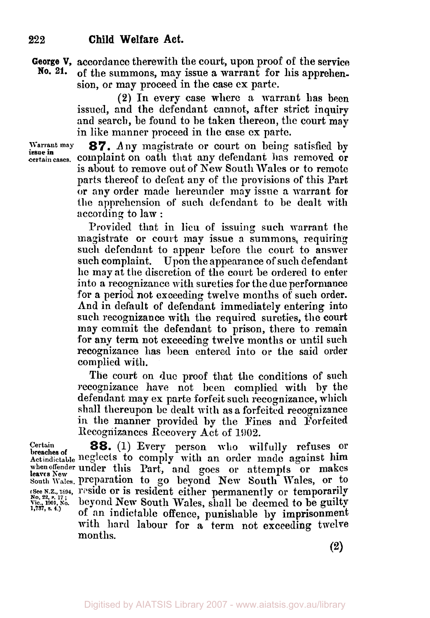George **V**, accordance therewith the court, upon proof of the service<br>No. 21. of the summons may issue a warrant for his annual of the summons, may issue a warrant for his apprehension, or may proceed in the case **ex** parte.

> (2) In every case where **a** warrant has been issued, and the defendant cannot, after strict inquiry and search, be found to be taken thereon, the court may in like manner proceed in the case **ex** parte.

**issue in** 

**warrant may** *87.* Any magistrate or court on being satisfied by **certain cases.** complaint on oath that any defendant has removed or is about to remove out of New South Wales or to remote parts thereof to defeat any of the provisions of this Part or any order made hereunder may issue a warrant for the apprehension of such defendant to be dealt with according to law :

> Provided that in lieu of issuing such warrant the magistrate or court **may** issue a summons, requiring such defendant to appear **before** the court to answer such complaint. Upon the appearance of such defendant lie may at the discretion of the court be ordered to enter into a recognizance with sureties for the due performance for a period not exceeding twelve months of such order. And in default of defendant immediately entering into such recognizance with the required sureties, the court may commit the defendant to prison, there to remain for any term not exceeding twelve months or until such recognizance has been entered into **or** the said order complied with.

> The court on due proof that the conditions of such recognizance have not been complied with by the defendant may ex parte forfeit such recognizance, which shall thereupon be dealt with as a forfeited recognizance in the manner provided by the Pines and Forfeited Recognizances Recovery Act of **1902.**

**breaches of No. 22, a. 17;<br>
Vic., 1901, No. 1,737, s. 4.)** 

**Certain** *88.* (1) Every person **who** wilfully refuses or **Ac tindictable** neglects to Comply **with** an order made against him when offender under this Part, and goes or attempts or makes leaves New **Examples Channel Later**, and goes of attempts of makes *(See N.Z., 1894, Poside or is resident either permanently or temporarily* beyond New South Wales, shall be deemed to be guilty **of** an indict able offence, punishable **by** imprisonment with hard labour for a term not exceeding twelve months.

**(2)**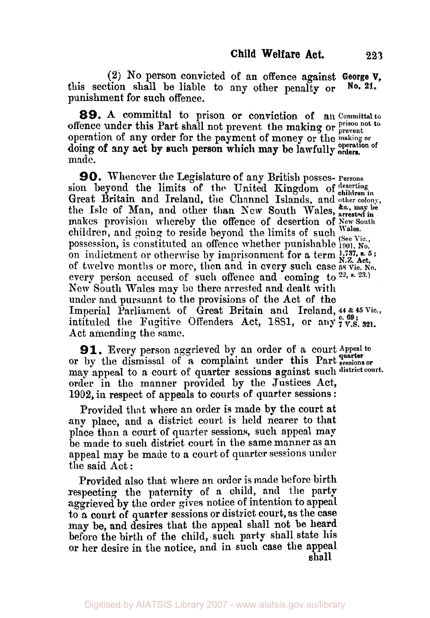**(2)** No person convicted of an offence against **George V,**  this section shall be liable to any other penalty or punishment for such offence. **No. 21.** 

**89. A** committal to prison or conviction of an **Committal to**  offence under this Part shall not prevent the making or **prison not to prevent**  operation of any order for the payment of money or the **making or**  doing **of any** act by such person which may be lawfully **operation of**  made.

**90.** Whenever the Legislature of any British posses- **Persons**  Great Britain and Ireland, the Channel Islands, and **other colony,**  the Isle of Man, and other than New South Wales, *kg*, *nay* be the Isle of Man, and other than New South Wales, *kgreented* in makes provision whereby the offence of desertion of **New South**  children, and going to reside beyond the limits of such **(Sec** vic., possession, is constituted an offencc whether punishable **1901. No.**  possession, is constituted an onence whether punishable 1901, No.<br>on indictment or otherwise by imprisonment for a term  $\frac{1}{N} \frac{737}{\pi}$ , a, b; of twelve months or more, then and in every such case **58 Vic. No. N.Z. Act,**  every person accused of such offence and **coming** to **22, s. 3.)**  New South Wales may be there arrested and dealt with under and pursuant to the provisions of the Act **of** the Imperial Parliament of Great Britain and Ireland, **44** *&* **45 Vic.,**  intituled the Fugitive Offenders Act, 1881, or any  $\frac{c}{7}$   $\frac{1}{9}$ ,  $\frac{1}{2}$ **Act** amending the same. sion beyond the limits of the United Kingdom of deserting **Wales.** 

**91. Every** person aggrieved by an order of a court **Appeal to**  or by the dismissal of a complaint under this Part assions or may appeal to **a** court of quarter sessions against such **district court.**  order in the manner provided by the Justices Act, 1902, in respect of appeals to courts of quarter sessions :

Provided that where an order is made by the court at any place, and a district court is held nearer to that place than a court of quarter sessions, such appeal may be made to such district court in the same manner as an appeal may be made to a court of quarter sessions under the said Act :

Provided also that where an order is made before birth respecting the paternity of a child, and the party aggrieved by the order gives notice of intention to appeal to a court of quarter sessions or district court, as the case may **be,** and desires that the appeal shall not be heard before the birth of the child, such party shall state his or her desire in the notice, and in such case the appeal shall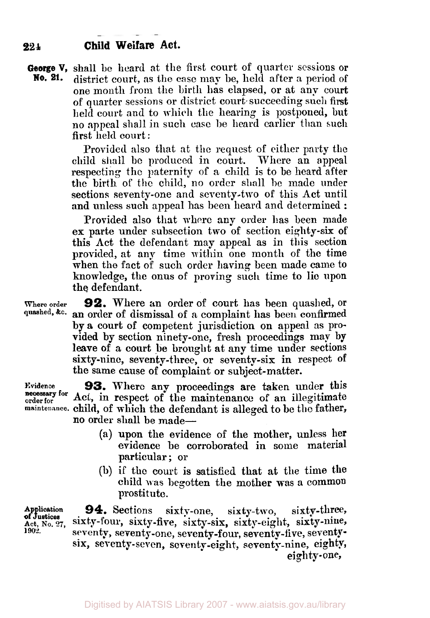## **224 Child Welfare Act.**

**George V,** shall be heard at the first court of quarter sessions **or**  district court, as the case may be, held after **a** period of one month from the birth has elapsed, or at any court **of** quarter sessions or district court succeeding such first held court and to which the hearing is postponed, but no appeal shall in such case be heard earlier than such first **held** court : **No. 21.** 

> Provided also that at the request **of** either party the child shall be produced in court. Where an appeal respecting the paternity of a child is to be heard after the birth of the child, no order shall be made under sections seventy-one and seventy-two of this **Act** until and unless such appeal has been heard and determined :

> Provided also that where any order has been made ex parte under subsection two of section eighty-six of this **Act** the defendant may appeal as in this section provided, at any time within one month of the time when the fact of such order having been made came to knowledge, the onus of proving such time to lie upon **the** defendant.

**Where order** 

**92.** Where **an** order of court has been quashed, **or**  an order of dismissal of **a** complaint has been confirmed **quashed,**  by a court of competent jurisdiction on appeal as provided by section ninety-one, fresh proceedings may by leave **of** a court **be brought** at any time under sections sixty-nine, seventy-three, or seventy-six in respect **of**  the same cause of complaint or subject-matter.

**necessary for** 

**Evidence 93.** Where any proceedings **are** taken under this **order for Act,** in respect of the maintenance of an illegitimate **maintenance.** child, of which the defendant is alleged to be the father, **no** order shall be made-

- (a) upon the evidence **of** the mother, unless her evidence be corroborated in some material particular ; **or**
- (b) if the court is satisfied that at the time the child was begotten the mother was a **common** prostitute.

**of Justices** 

**Application 94. Sections** sixty-one, sixty-two, sixty-three, Act, No. 27, sixty-four, sixty-five, sixty-six, sixty-eight, sixty-nine,<br>
1902. Seventy seventy-one seventy-four seventy-five seventyseventy, seventy-one, seventy-four, seventy-five, seventysix, seventy-seven, seventy-eight, seventy-nine, eighty, eighty-one,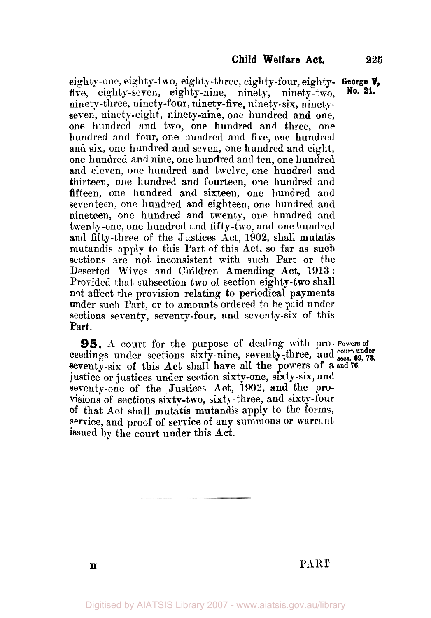eighty-one, eighty-two, eighty-three, eighty-four, eighty- **George V,**  five, eighty-seven, eighty-nine, ninety, ninety-two, **No. 21.**  ninety-three, ninety-four, ninety-five, ninety-six, ninetyseven, ninety-eight, ninety-nine, one hundred and one, one hundred and two, one hundred and three, one hundred and four, one hundred and five, one hundred and six, one hundred and seven, one hundred and eight, one hundred and nine, one hundred and ten, one hundred and eleven, one hundred and twelve, one hundred and thirteen, one hundred and fourteen, one hundred and fifteen, one hundred and sixteen, one hundred and seventeen, one hundred and eighteen, one hundred and nineteen, one hundred and twenty, one hundred and twenty-one, one hundred and fifty-two, and one hundred and fifty-three of the Justices Act, **1902,** shall mutatis mutandis apply to this Part of this Act, so far as such sections are not inconsistent with such Part or the Deserted Wives and Children Amending Act, **1913** : Provided that subsection two of section eighty-two shall not affect the provision relating to periodical payments under such Part, or to amounts ordered to be paid under sections seventy, seventy-four, and seventy-six of this Part.

**95.** A court for the purpose of dealing with pro- **Powers of**  ceedings under sections sixty-nine, seventy-three, and court under seventy-six of this Act shall have all the powers of a and 76. justice or justices under section sixty-one, sixty-six, and seventy-one of the Justices Act, **1902,** and the provisions of sections sixty-two, sixty-three, and sixty-four **of** that Act shall mutatis mutandis apply to the forms, service, and proof of service of any summons or warrant issued by the court under this Act.

**a** PART